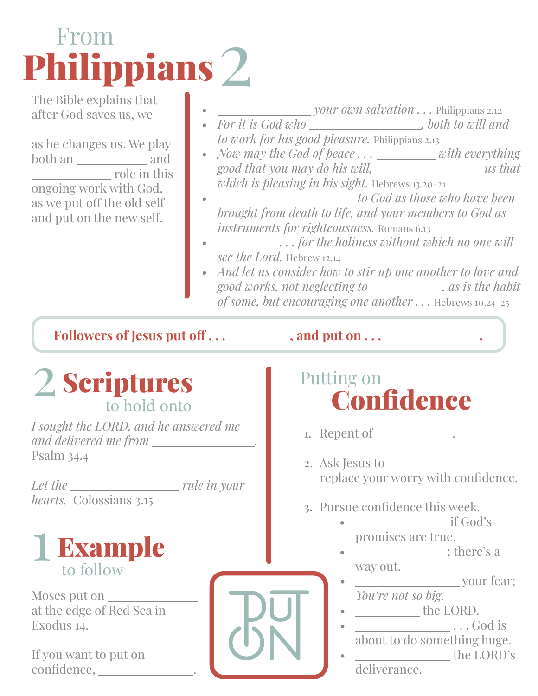## Philippians<sup>2</sup> From

The Bible explains that after God saves us, we

l, as he changes us. We play  $both an   
and$ **role** in this ongoing work with God, as we put off the old self and put on the new self.

- *your own salvation . . . Philippians 2.12*
- *• For it is God who , both to will and to work for his good pleasure.* Philippians 2.13
- *Now may the God of peace*  $\ldots$  <u>example with everything</u> *good that you may do his will, \_\_\_\_\_\_\_\_\_\_\_\_\_\_\_\_\_\_\_\_\_\_ us that which is pleasing in his sight.* Hebrews 13.20-21
- *to God as those who have been brought from death to life, and your members to God as instruments for righteousness.* Romans 6.13
- *. . . for the holiness without which no one will see the Lord.* Hebrew 12.14
- *• And let us consider how to stir up one another to love and good works, not neglecting to , as is the habit of some, but encouraging one another . . .* Hebrews 10.24-25

Followers of Jesus put off  $\dots$  **and put on**  $\dots$